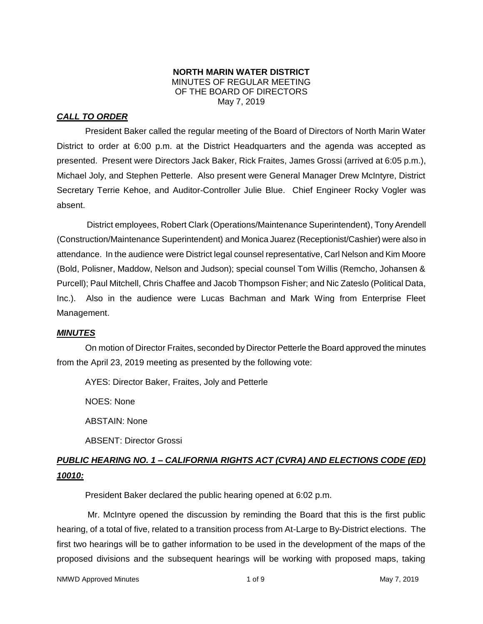#### **NORTH MARIN WATER DISTRICT** MINUTES OF REGULAR MEETING OF THE BOARD OF DIRECTORS May 7, 2019

## *CALL TO ORDER*

President Baker called the regular meeting of the Board of Directors of North Marin Water District to order at 6:00 p.m. at the District Headquarters and the agenda was accepted as presented. Present were Directors Jack Baker, Rick Fraites, James Grossi (arrived at 6:05 p.m.), Michael Joly, and Stephen Petterle. Also present were General Manager Drew McIntyre, District Secretary Terrie Kehoe, and Auditor-Controller Julie Blue. Chief Engineer Rocky Vogler was absent.

District employees, Robert Clark (Operations/Maintenance Superintendent), Tony Arendell (Construction/Maintenance Superintendent) and Monica Juarez (Receptionist/Cashier) were also in attendance. In the audience were District legal counsel representative, Carl Nelson and Kim Moore (Bold, Polisner, Maddow, Nelson and Judson); special counsel Tom Willis (Remcho, Johansen & Purcell); Paul Mitchell, Chris Chaffee and Jacob Thompson Fisher; and Nic Zateslo (Political Data, Inc.). Also in the audience were Lucas Bachman and Mark Wing from Enterprise Fleet Management.

#### *MINUTES*

On motion of Director Fraites, seconded by Director Petterle the Board approved the minutes from the April 23, 2019 meeting as presented by the following vote:

AYES: Director Baker, Fraites, Joly and Petterle

NOES: None

ABSTAIN: None

ABSENT: Director Grossi

# *PUBLIC HEARING NO. 1 – CALIFORNIA RIGHTS ACT (CVRA) AND ELECTIONS CODE (ED) 10010:*

President Baker declared the public hearing opened at 6:02 p.m.

Mr. McIntyre opened the discussion by reminding the Board that this is the first public hearing, of a total of five, related to a transition process from At-Large to By-District elections. The first two hearings will be to gather information to be used in the development of the maps of the proposed divisions and the subsequent hearings will be working with proposed maps, taking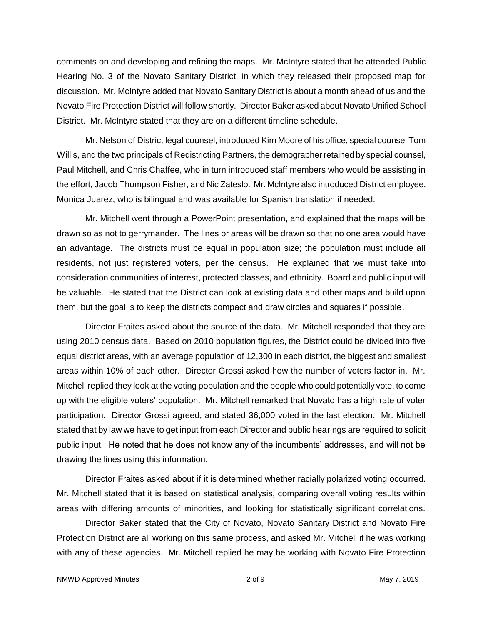comments on and developing and refining the maps. Mr. McIntyre stated that he attended Public Hearing No. 3 of the Novato Sanitary District, in which they released their proposed map for discussion. Mr. McIntyre added that Novato Sanitary District is about a month ahead of us and the Novato Fire Protection District will follow shortly. Director Baker asked about Novato Unified School District. Mr. McIntyre stated that they are on a different timeline schedule.

Mr. Nelson of District legal counsel, introduced Kim Moore of his office, special counsel Tom Willis, and the two principals of Redistricting Partners, the demographer retained by special counsel, Paul Mitchell, and Chris Chaffee, who in turn introduced staff members who would be assisting in the effort, Jacob Thompson Fisher, and Nic Zateslo. Mr. McIntyre also introduced District employee, Monica Juarez, who is bilingual and was available for Spanish translation if needed.

Mr. Mitchell went through a PowerPoint presentation, and explained that the maps will be drawn so as not to gerrymander. The lines or areas will be drawn so that no one area would have an advantage. The districts must be equal in population size; the population must include all residents, not just registered voters, per the census. He explained that we must take into consideration communities of interest, protected classes, and ethnicity. Board and public input will be valuable. He stated that the District can look at existing data and other maps and build upon them, but the goal is to keep the districts compact and draw circles and squares if possible.

Director Fraites asked about the source of the data. Mr. Mitchell responded that they are using 2010 census data. Based on 2010 population figures, the District could be divided into five equal district areas, with an average population of 12,300 in each district, the biggest and smallest areas within 10% of each other. Director Grossi asked how the number of voters factor in. Mr. Mitchell replied they look at the voting population and the people who could potentially vote, to come up with the eligible voters' population. Mr. Mitchell remarked that Novato has a high rate of voter participation. Director Grossi agreed, and stated 36,000 voted in the last election. Mr. Mitchell stated that by law we have to get input from each Director and public hearings are required to solicit public input. He noted that he does not know any of the incumbents' addresses, and will not be drawing the lines using this information.

Director Fraites asked about if it is determined whether racially polarized voting occurred. Mr. Mitchell stated that it is based on statistical analysis, comparing overall voting results within areas with differing amounts of minorities, and looking for statistically significant correlations.

Director Baker stated that the City of Novato, Novato Sanitary District and Novato Fire Protection District are all working on this same process, and asked Mr. Mitchell if he was working with any of these agencies. Mr. Mitchell replied he may be working with Novato Fire Protection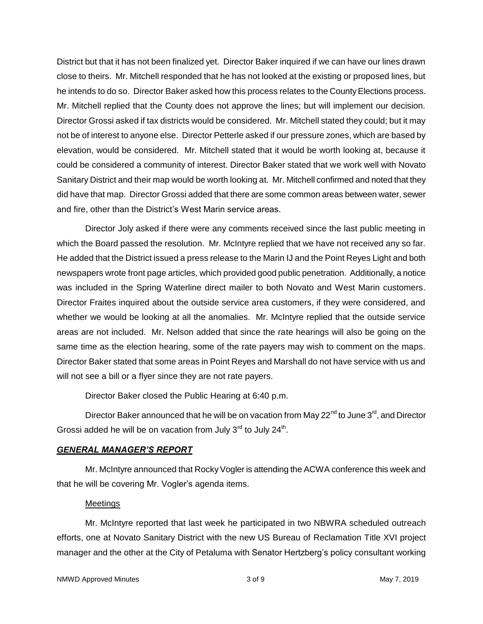District but that it has not been finalized yet. Director Baker inquired if we can have our lines drawn close to theirs. Mr. Mitchell responded that he has not looked at the existing or proposed lines, but he intends to do so. Director Baker asked how this process relates to the County Elections process. Mr. Mitchell replied that the County does not approve the lines; but will implement our decision. Director Grossi asked if tax districts would be considered. Mr. Mitchell stated they could; but it may not be of interest to anyone else. Director Petterle asked if our pressure zones, which are based by elevation, would be considered. Mr. Mitchell stated that it would be worth looking at, because it could be considered a community of interest. Director Baker stated that we work well with Novato Sanitary District and their map would be worth looking at. Mr. Mitchell confirmed and noted that they did have that map. Director Grossi added that there are some common areas between water, sewer and fire, other than the District's West Marin service areas.

Director Joly asked if there were any comments received since the last public meeting in which the Board passed the resolution. Mr. McIntyre replied that we have not received any so far. He added that the District issued a press release to the Marin IJ and the Point Reyes Light and both newspapers wrote front page articles, which provided good public penetration. Additionally, a notice was included in the Spring Waterline direct mailer to both Novato and West Marin customers. Director Fraites inquired about the outside service area customers, if they were considered, and whether we would be looking at all the anomalies. Mr. McIntyre replied that the outside service areas are not included. Mr. Nelson added that since the rate hearings will also be going on the same time as the election hearing, some of the rate payers may wish to comment on the maps. Director Baker stated that some areas in Point Reyes and Marshall do not have service with us and will not see a bill or a flyer since they are not rate payers.

Director Baker closed the Public Hearing at 6:40 p.m.

Director Baker announced that he will be on vacation from May 22 $^{\text{nd}}$  to June 3<sup>rd</sup>, and Director Grossi added he will be on vacation from July  $3^{rd}$  to July  $24^{th}$ .

#### *GENERAL MANAGER'S REPORT*

Mr. McIntyre announced that Rocky Vogler is attending the ACWA conference this week and that he will be covering Mr. Vogler's agenda items.

## **Meetings**

Mr. McIntyre reported that last week he participated in two NBWRA scheduled outreach efforts, one at Novato Sanitary District with the new US Bureau of Reclamation Title XVI project manager and the other at the City of Petaluma with Senator Hertzberg's policy consultant working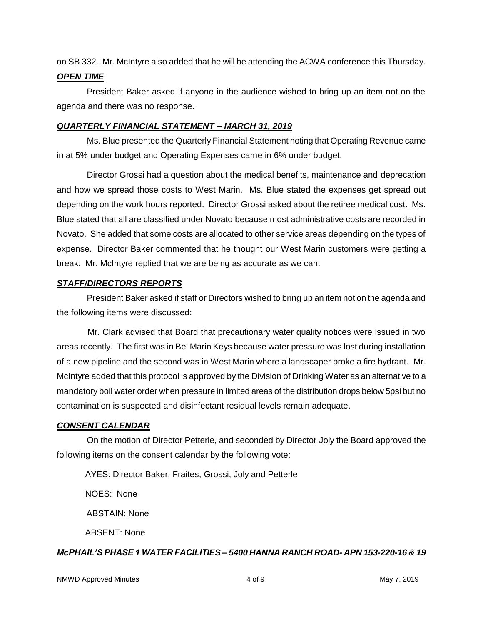on SB 332. Mr. McIntyre also added that he will be attending the ACWA conference this Thursday.

#### *OPEN TIME*

President Baker asked if anyone in the audience wished to bring up an item not on the agenda and there was no response.

#### *QUARTERLY FINANCIAL STATEMENT – MARCH 31, 2019*

Ms. Blue presented the Quarterly Financial Statement noting that Operating Revenue came in at 5% under budget and Operating Expenses came in 6% under budget.

Director Grossi had a question about the medical benefits, maintenance and deprecation and how we spread those costs to West Marin. Ms. Blue stated the expenses get spread out depending on the work hours reported. Director Grossi asked about the retiree medical cost. Ms. Blue stated that all are classified under Novato because most administrative costs are recorded in Novato. She added that some costs are allocated to other service areas depending on the types of expense. Director Baker commented that he thought our West Marin customers were getting a break. Mr. McIntyre replied that we are being as accurate as we can.

### *STAFF/DIRECTORS REPORTS*

President Baker asked if staff or Directors wished to bring up an item not on the agenda and the following items were discussed:

Mr. Clark advised that Board that precautionary water quality notices were issued in two areas recently. The first was in Bel Marin Keys because water pressure was lost during installation of a new pipeline and the second was in West Marin where a landscaper broke a fire hydrant. Mr. McIntyre added that this protocol is approved by the Division of Drinking Water as an alternative to a mandatory boil water order when pressure in limited areas of the distribution drops below 5psi but no contamination is suspected and disinfectant residual levels remain adequate.

## *CONSENT CALENDAR*

On the motion of Director Petterle, and seconded by Director Joly the Board approved the following items on the consent calendar by the following vote:

AYES: Director Baker, Fraites, Grossi, Joly and Petterle

NOES: None

ABSTAIN: None

ABSENT: None

## *McPHAIL'S PHASE 1 WATER FACILITIES – 5400 HANNA RANCH ROAD- APN 153-220-16 & 19*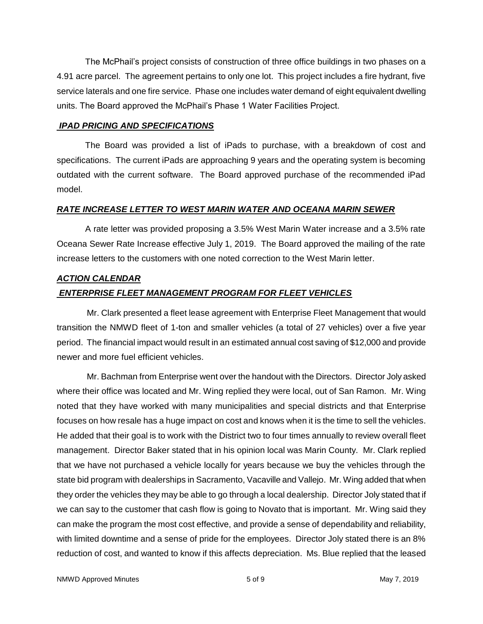The McPhail's project consists of construction of three office buildings in two phases on a 4.91 acre parcel. The agreement pertains to only one lot. This project includes a fire hydrant, five service laterals and one fire service. Phase one includes water demand of eight equivalent dwelling units. The Board approved the McPhail's Phase 1 Water Facilities Project.

#### *IPAD PRICING AND SPECIFICATIONS*

The Board was provided a list of iPads to purchase, with a breakdown of cost and specifications. The current iPads are approaching 9 years and the operating system is becoming outdated with the current software. The Board approved purchase of the recommended iPad model.

#### *RATE INCREASE LETTER TO WEST MARIN WATER AND OCEANA MARIN SEWER*

A rate letter was provided proposing a 3.5% West Marin Water increase and a 3.5% rate Oceana Sewer Rate Increase effective July 1, 2019. The Board approved the mailing of the rate increase letters to the customers with one noted correction to the West Marin letter.

### *ACTION CALENDAR*

## *ENTERPRISE FLEET MANAGEMENT PROGRAM FOR FLEET VEHICLES*

Mr. Clark presented a fleet lease agreement with Enterprise Fleet Management that would transition the NMWD fleet of 1-ton and smaller vehicles (a total of 27 vehicles) over a five year period. The financial impact would result in an estimated annual cost saving of \$12,000 and provide newer and more fuel efficient vehicles.

Mr. Bachman from Enterprise went over the handout with the Directors. Director Joly asked where their office was located and Mr. Wing replied they were local, out of San Ramon. Mr. Wing noted that they have worked with many municipalities and special districts and that Enterprise focuses on how resale has a huge impact on cost and knows when it is the time to sell the vehicles. He added that their goal is to work with the District two to four times annually to review overall fleet management. Director Baker stated that in his opinion local was Marin County. Mr. Clark replied that we have not purchased a vehicle locally for years because we buy the vehicles through the state bid program with dealerships in Sacramento, Vacaville and Vallejo. Mr. Wing added that when they order the vehicles they may be able to go through a local dealership. Director Joly stated that if we can say to the customer that cash flow is going to Novato that is important. Mr. Wing said they can make the program the most cost effective, and provide a sense of dependability and reliability, with limited downtime and a sense of pride for the employees. Director Joly stated there is an 8% reduction of cost, and wanted to know if this affects depreciation. Ms. Blue replied that the leased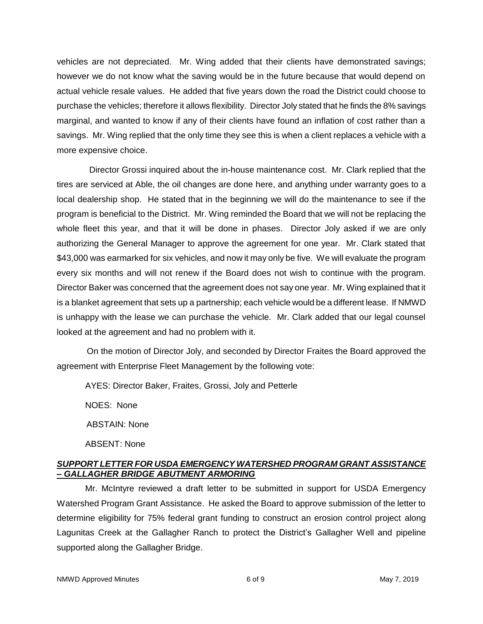vehicles are not depreciated. Mr. Wing added that their clients have demonstrated savings; however we do not know what the saving would be in the future because that would depend on actual vehicle resale values. He added that five years down the road the District could choose to purchase the vehicles; therefore it allows flexibility. Director Joly stated that he finds the 8% savings marginal, and wanted to know if any of their clients have found an inflation of cost rather than a savings. Mr. Wing replied that the only time they see this is when a client replaces a vehicle with a more expensive choice.

Director Grossi inquired about the in-house maintenance cost. Mr. Clark replied that the tires are serviced at Able, the oil changes are done here, and anything under warranty goes to a local dealership shop. He stated that in the beginning we will do the maintenance to see if the program is beneficial to the District. Mr. Wing reminded the Board that we will not be replacing the whole fleet this year, and that it will be done in phases. Director Joly asked if we are only authorizing the General Manager to approve the agreement for one year. Mr. Clark stated that \$43,000 was earmarked for six vehicles, and now it may only be five. We will evaluate the program every six months and will not renew if the Board does not wish to continue with the program. Director Baker was concerned that the agreement does not say one year. Mr. Wing explained that it is a blanket agreement that sets up a partnership; each vehicle would be a different lease. If NMWD is unhappy with the lease we can purchase the vehicle. Mr. Clark added that our legal counsel looked at the agreement and had no problem with it.

On the motion of Director Joly, and seconded by Director Fraites the Board approved the agreement with Enterprise Fleet Management by the following vote:

AYES: Director Baker, Fraites, Grossi, Joly and Petterle

NOES: None

ABSTAIN: None

ABSENT: None

## *SUPPORT LETTER FOR USDA EMERGENCY WATERSHED PROGRAM GRANT ASSISTANCE – GALLAGHER BRIDGE ABUTMENT ARMORING*

Mr. McIntyre reviewed a draft letter to be submitted in support for USDA Emergency Watershed Program Grant Assistance. He asked the Board to approve submission of the letter to determine eligibility for 75% federal grant funding to construct an erosion control project along Lagunitas Creek at the Gallagher Ranch to protect the District's Gallagher Well and pipeline supported along the Gallagher Bridge.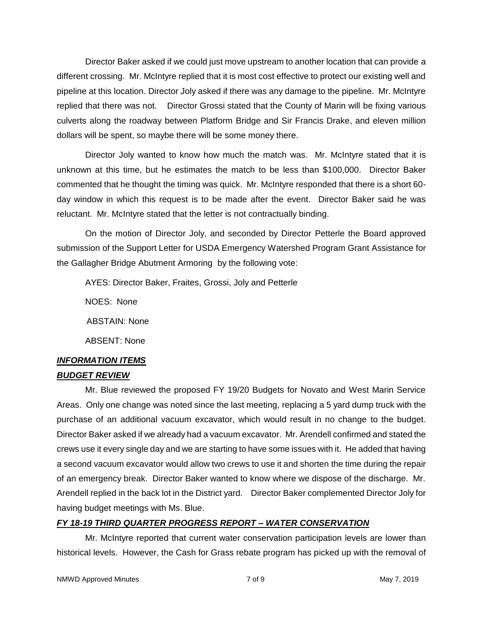Director Baker asked if we could just move upstream to another location that can provide a different crossing. Mr. McIntyre replied that it is most cost effective to protect our existing well and pipeline at this location. Director Joly asked if there was any damage to the pipeline. Mr. McIntyre replied that there was not. Director Grossi stated that the County of Marin will be fixing various culverts along the roadway between Platform Bridge and Sir Francis Drake, and eleven million dollars will be spent, so maybe there will be some money there.

Director Joly wanted to know how much the match was. Mr. McIntyre stated that it is unknown at this time, but he estimates the match to be less than \$100,000. Director Baker commented that he thought the timing was quick. Mr. McIntyre responded that there is a short 60 day window in which this request is to be made after the event. Director Baker said he was reluctant. Mr. McIntyre stated that the letter is not contractually binding.

On the motion of Director Joly, and seconded by Director Petterle the Board approved submission of the Support Letter for USDA Emergency Watershed Program Grant Assistance for the Gallagher Bridge Abutment Armoring by the following vote:

AYES: Director Baker, Fraites, Grossi, Joly and Petterle

NOES: None

ABSTAIN: None

ABSENT: None

# *INFORMATION ITEMS*

## *BUDGET REVIEW*

Mr. Blue reviewed the proposed FY 19/20 Budgets for Novato and West Marin Service Areas. Only one change was noted since the last meeting, replacing a 5 yard dump truck with the purchase of an additional vacuum excavator, which would result in no change to the budget. Director Baker asked if we already had a vacuum excavator. Mr. Arendell confirmed and stated the crews use it every single day and we are starting to have some issues with it. He added that having a second vacuum excavator would allow two crews to use it and shorten the time during the repair of an emergency break. Director Baker wanted to know where we dispose of the discharge. Mr. Arendell replied in the back lot in the District yard. Director Baker complemented Director Joly for having budget meetings with Ms. Blue.

# *FY 18-19 THIRD QUARTER PROGRESS REPORT – WATER CONSERVATION*

Mr. McIntyre reported that current water conservation participation levels are lower than historical levels. However, the Cash for Grass rebate program has picked up with the removal of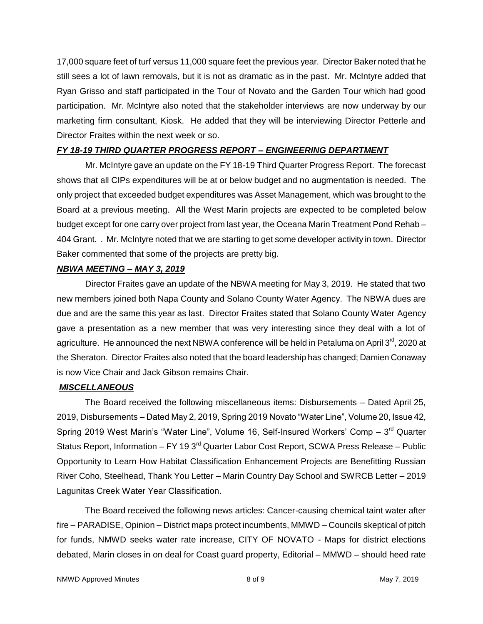17,000 square feet of turf versus 11,000 square feet the previous year. Director Baker noted that he still sees a lot of lawn removals, but it is not as dramatic as in the past. Mr. McIntyre added that Ryan Grisso and staff participated in the Tour of Novato and the Garden Tour which had good participation. Mr. McIntyre also noted that the stakeholder interviews are now underway by our marketing firm consultant, Kiosk. He added that they will be interviewing Director Petterle and Director Fraites within the next week or so.

#### *FY 18-19 THIRD QUARTER PROGRESS REPORT – ENGINEERING DEPARTMENT*

Mr. McIntyre gave an update on the FY 18-19 Third Quarter Progress Report. The forecast shows that all CIPs expenditures will be at or below budget and no augmentation is needed. The only project that exceeded budget expenditures was Asset Management, which was brought to the Board at a previous meeting. All the West Marin projects are expected to be completed below budget except for one carry over project from last year, the Oceana Marin Treatment Pond Rehab – 404 Grant. . Mr. McIntyre noted that we are starting to get some developer activity in town. Director Baker commented that some of the projects are pretty big.

#### *NBWA MEETING – MAY 3, 2019*

Director Fraites gave an update of the NBWA meeting for May 3, 2019. He stated that two new members joined both Napa County and Solano County Water Agency. The NBWA dues are due and are the same this year as last. Director Fraites stated that Solano County Water Agency gave a presentation as a new member that was very interesting since they deal with a lot of agriculture. He announced the next NBWA conference will be held in Petaluma on April 3<sup>rd</sup>, 2020 at the Sheraton. Director Fraites also noted that the board leadership has changed; Damien Conaway is now Vice Chair and Jack Gibson remains Chair.

#### *MISCELLANEOUS*

The Board received the following miscellaneous items: Disbursements – Dated April 25, 2019, Disbursements – Dated May 2, 2019, Spring 2019 Novato "Water Line", Volume 20, Issue 42, Spring 2019 West Marin's "Water Line", Volume 16, Self-Insured Workers' Comp  $-3<sup>rd</sup>$  Quarter Status Report, Information – FY 19  $3<sup>rd</sup>$  Quarter Labor Cost Report, SCWA Press Release – Public Opportunity to Learn How Habitat Classification Enhancement Projects are Benefitting Russian River Coho, Steelhead, Thank You Letter – Marin Country Day School and SWRCB Letter – 2019 Lagunitas Creek Water Year Classification.

The Board received the following news articles: Cancer-causing chemical taint water after fire – PARADISE, Opinion – District maps protect incumbents, MMWD – Councils skeptical of pitch for funds, NMWD seeks water rate increase, CITY OF NOVATO - Maps for district elections debated, Marin closes in on deal for Coast guard property, Editorial – MMWD – should heed rate